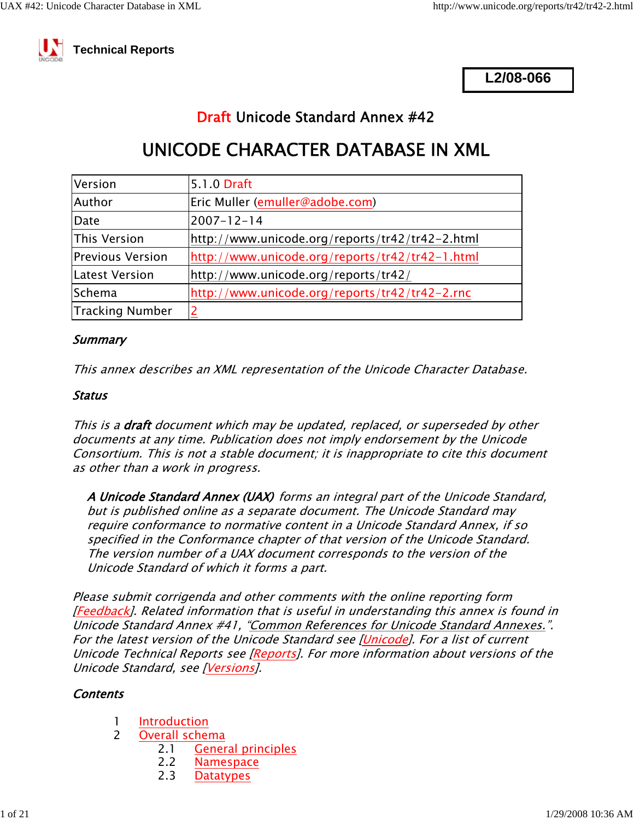

 **Technical Reports**

**L2/08-066**

# Draft Unicode Standard Annex #42

# UNICODE CHARACTER DATABASE IN XML

| Version                | 5.1.0 Draft                                     |
|------------------------|-------------------------------------------------|
| Author                 | Eric Muller (emuller@adobe.com)                 |
| Date                   | $2007 - 12 - 14$                                |
| This Version           | http://www.unicode.org/reports/tr42/tr42-2.html |
| Previous Version       | http://www.unicode.org/reports/tr42/tr42-1.html |
| Latest Version         | http://www.unicode.org/reports/tr42/            |
| <b>Schema</b>          | http://www.unicode.org/reports/tr42/tr42-2.rnc  |
| <b>Tracking Number</b> |                                                 |

#### **Summary**

This annex describes an XML representation of the Unicode Character Database.

#### Status

This is a **draft** document which may be updated, replaced, or superseded by other documents at any time. Publication does not imply endorsement by the Unicode Consortium. This is not a stable document; it is inappropriate to cite this document as other than a work in progress.

A Unicode Standard Annex (UAX) forms an integral part of the Unicode Standard, but is published online as a separate document. The Unicode Standard may require conformance to normative content in a Unicode Standard Annex, if so specified in the Conformance chapter of that version of the Unicode Standard. The version number of a UAX document corresponds to the version of the Unicode Standard of which it forms a part.

Please submit corrigenda and other comments with the online reporting form [Feedback]. Related information that is useful in understanding this annex is found in Unicode Standard Annex #41, "Common References for Unicode Standard Annexes.". For the latest version of the Unicode Standard see [Unicode]. For a list of current Unicode Technical Reports see [Reports]. For more information about versions of the Unicode Standard, see [Versions].

#### **Contents**

- 1 <u>Introduction</u><br>2 Overall schei
- Overall schema
	- 2.1 General principles
	- 2.2 <u>Namespace</u><br>2.3 Datatypes
	- **Datatypes**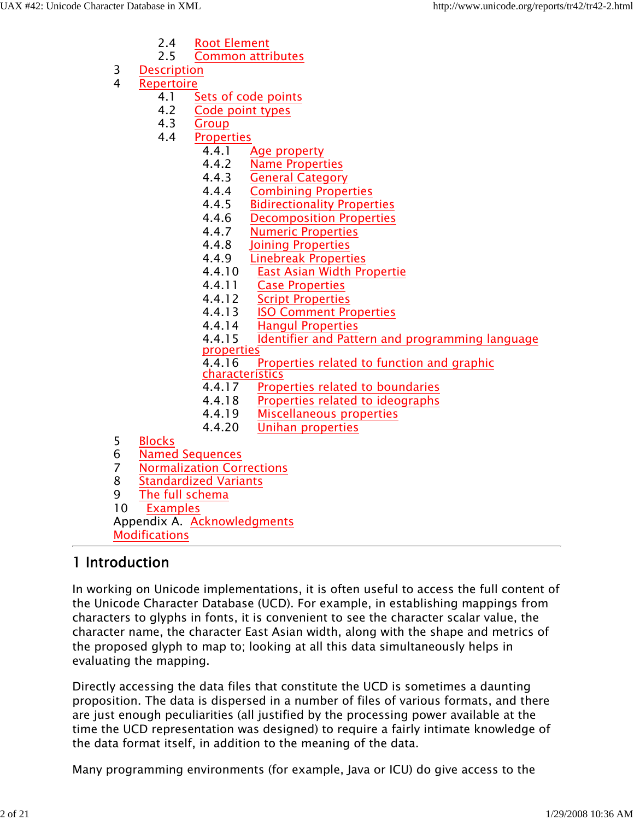- 2.4 Root Element<br>2.5 Common attri
- 2.5 Common attributes
- 3 Description
- 4 <u>Repertoire</u><br>4.1 S
	- 4.1 Sets of code points<br>4.2 Code point types
	- Code point types
	- 4.3 <u>Group</u><br>4.4 Proper
	- **Properties** 
		- 4.4.1 Age property
		- 4.4.2 **Name Properties**<br>4.4.3 **General Category**
		- 4.4.3 **General Category**<br>4.4.4 **Combining Prope**
		- 4.4.4 Combining Properties
		- 4.4.5 Bidirectionality Properties<br>4.4.6 Decomposition Properties
		- 4.4.6 Decomposition Properties<br>4.4.7 Numeric Properties
		- 4.4.7 Numeric Properties<br>4.4.8 Joining Properties
		- 4.4.8 <u>Joining Properties</u><br>4.4.9 Linebreak Properti
			- 4.4.9 Linebreak Properties
		- 4.4.10 East Asian Width Propertie
		- 4.4.11 Case Properties<br>4.4.12 Script Properties
		- **Script Properties**
		- 4.4.13 ISO Comment Properties
		- 4.4.14 Hangul Properties
		- 4.4.15 Identifier and Pattern and programming language properties
		- 4.4.16 Properties related to function and graphic<br>
		characteristics<br>
		4.4.17 Properties related to boundaries

- Properties related to boundaries
- 4.4.18 Properties related to ideographs
- 4.4.19 Miscellaneous properties
- 4.4.20 Unihan properties
- 5 Blocks
- 6 **Named Sequences**<br>7 **Normalization Cor**
- 7 **Normalization Corrections**<br>8 **Standardized Variants**
- 8 Standardized Variants<br>9 The full schema
- The full schema

10 Examples

Appendix A. Acknowledgments

Modifications

## 1 Introduction

In working on Unicode implementations, it is often useful to access the full content of the Unicode Character Database (UCD). For example, in establishing mappings from characters to glyphs in fonts, it is convenient to see the character scalar value, the character name, the character East Asian width, along with the shape and metrics of the proposed glyph to map to; looking at all this data simultaneously helps in evaluating the mapping.

Directly accessing the data files that constitute the UCD is sometimes a daunting proposition. The data is dispersed in a number of files of various formats, and there are just enough peculiarities (all justified by the processing power available at the time the UCD representation was designed) to require a fairly intimate knowledge of the data format itself, in addition to the meaning of the data.

Many programming environments (for example, Java or ICU) do give access to the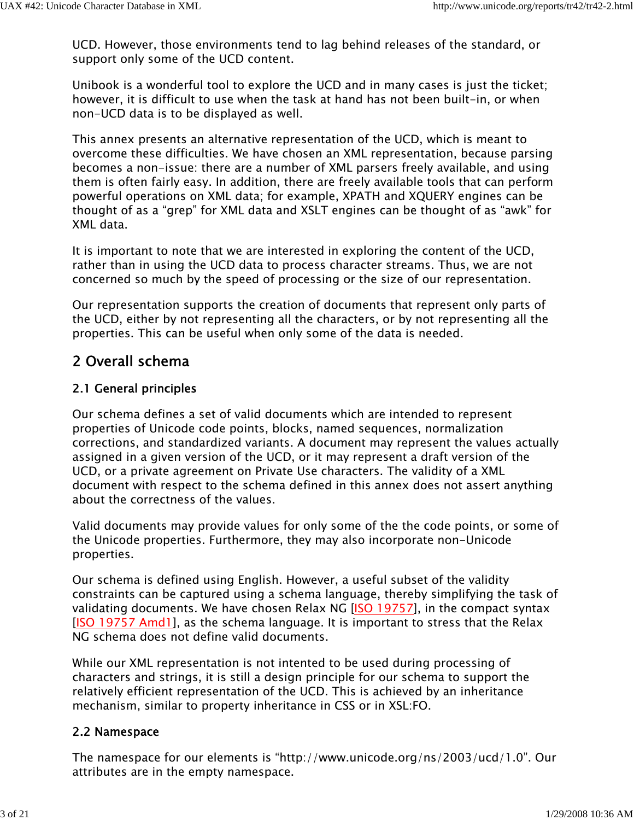UCD. However, those environments tend to lag behind releases of the standard, or support only some of the UCD content.

Unibook is a wonderful tool to explore the UCD and in many cases is just the ticket; however, it is difficult to use when the task at hand has not been built-in, or when non-UCD data is to be displayed as well.

This annex presents an alternative representation of the UCD, which is meant to overcome these difficulties. We have chosen an XML representation, because parsing becomes a non-issue: there are a number of XML parsers freely available, and using them is often fairly easy. In addition, there are freely available tools that can perform powerful operations on XML data; for example, XPATH and XQUERY engines can be thought of as a "grep" for XML data and XSLT engines can be thought of as "awk" for XML data.

It is important to note that we are interested in exploring the content of the UCD, rather than in using the UCD data to process character streams. Thus, we are not concerned so much by the speed of processing or the size of our representation.

Our representation supports the creation of documents that represent only parts of the UCD, either by not representing all the characters, or by not representing all the properties. This can be useful when only some of the data is needed.

## 2 Overall schema

### 2.1 General principles

Our schema defines a set of valid documents which are intended to represent properties of Unicode code points, blocks, named sequences, normalization corrections, and standardized variants. A document may represent the values actually assigned in a given version of the UCD, or it may represent a draft version of the UCD, or a private agreement on Private Use characters. The validity of a XML document with respect to the schema defined in this annex does not assert anything about the correctness of the values.

Valid documents may provide values for only some of the the code points, or some of the Unicode properties. Furthermore, they may also incorporate non-Unicode properties.

Our schema is defined using English. However, a useful subset of the validity constraints can be captured using a schema language, thereby simplifying the task of validating documents. We have chosen Relax NG [ISO 19757], in the compact syntax [ISO 19757 Amd1], as the schema language. It is important to stress that the Relax NG schema does not define valid documents.

While our XML representation is not intented to be used during processing of characters and strings, it is still a design principle for our schema to support the relatively efficient representation of the UCD. This is achieved by an inheritance mechanism, similar to property inheritance in CSS or in XSL:FO.

### 2.2 Namespace

The namespace for our elements is "http://www.unicode.org/ns/2003/ucd/1.0". Our attributes are in the empty namespace.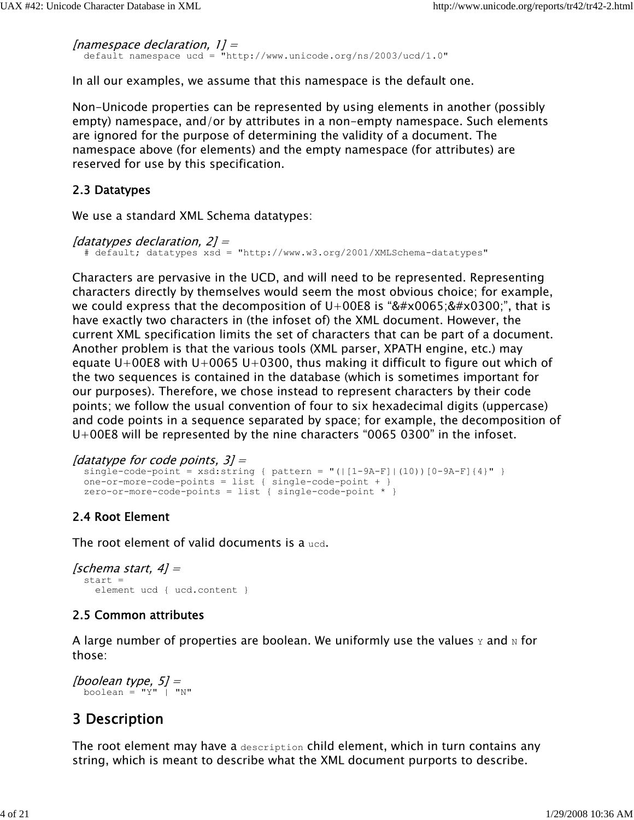```
[namespace declaration, 1] =
```
default namespace ucd = "http://www.unicode.org/ns/2003/ucd/1.0"

In all our examples, we assume that this namespace is the default one.

Non-Unicode properties can be represented by using elements in another (possibly empty) namespace, and/or by attributes in a non-empty namespace. Such elements are ignored for the purpose of determining the validity of a document. The namespace above (for elements) and the empty namespace (for attributes) are reserved for use by this specification.

### 2.3 Datatypes

We use a standard XML Schema datatypes:

```
[datatypes declaration, 2] =
   # default; datatypes xsd = "http://www.w3.org/2001/XMLSchema-datatypes"
```
Characters are pervasive in the UCD, and will need to be represented. Representing characters directly by themselves would seem the most obvious choice; for example, we could express that the decomposition of  $U+00E8$  is " $è$ ", that is have exactly two characters in (the infoset of) the XML document. However, the current XML specification limits the set of characters that can be part of a document. Another problem is that the various tools (XML parser, XPATH engine, etc.) may equate U+00E8 with U+0065 U+0300, thus making it difficult to figure out which of the two sequences is contained in the database (which is sometimes important for our purposes). Therefore, we chose instead to represent characters by their code points; we follow the usual convention of four to six hexadecimal digits (uppercase) and code points in a sequence separated by space; for example, the decomposition of U+00E8 will be represented by the nine characters "0065 0300" in the infoset.

```
[datatype for code points, 3] =
```

```
single-code-point = xsd:string { pattern = "(|[1-9A-F]|(10))[0-9A-F]{4}" }
 one-or-more-code-points = list { single-code-point + }
 zero-or-more-code-points = list { single-code-point * }
```
## 2.4 Root Element

The root element of valid documents is a ucd.

```
[schema start, 4] = start = 
     element ucd { ucd.content }
```
### 2.5 Common attributes

A large number of properties are boolean. We uniformly use the values  $\gamma$  and  $\alpha$  for those:

```
[boolean type, 5] =
 boolean = "Y" | "N"
```
## 3 Description

The root element may have a description child element, which in turn contains any string, which is meant to describe what the XML document purports to describe.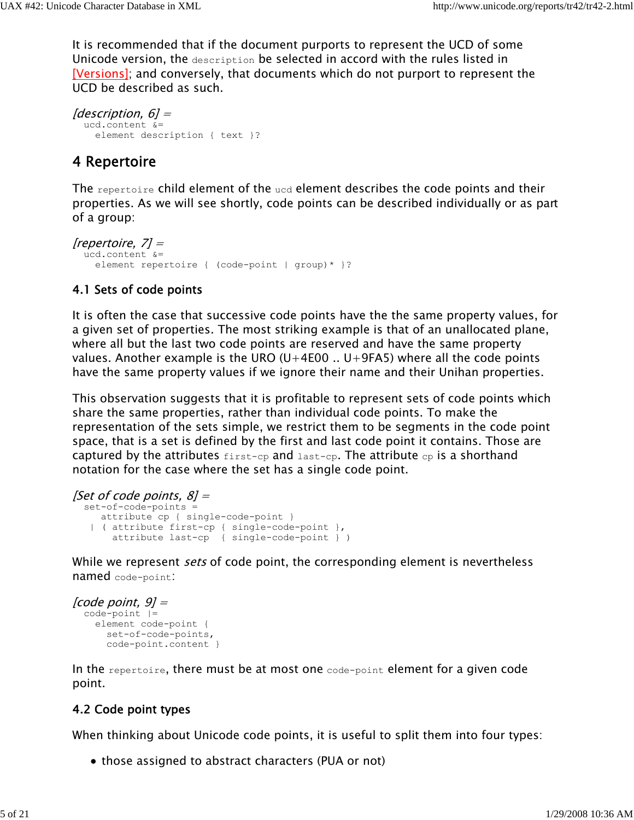It is recommended that if the document purports to represent the UCD of some Unicode version, the description be selected in accord with the rules listed in [Versions]; and conversely, that documents which do not purport to represent the UCD be described as such.

```
[description, 6] =
   ucd.content &=
     element description { text }?
```
## 4 Repertoire

The repertoire child element of the  $ucd$  element describes the code points and their properties. As we will see shortly, code points can be described individually or as part of a group:

```
[repertoire, 7] =
   ucd.content &=
     element repertoire { (code-point | group)* }?
```
### 4.1 Sets of code points

It is often the case that successive code points have the the same property values, for a given set of properties. The most striking example is that of an unallocated plane, where all but the last two code points are reserved and have the same property values. Another example is the URO (U+4E00  $\ldots$  U+9FA5) where all the code points have the same property values if we ignore their name and their Unihan properties.

This observation suggests that it is profitable to represent sets of code points which share the same properties, rather than individual code points. To make the representation of the sets simple, we restrict them to be segments in the code point space, that is a set is defined by the first and last code point it contains. Those are captured by the attributes  $f(x) = c_p$  and  $x$  as t-cp. The attribute  $c_p$  is a shorthand notation for the case where the set has a single code point.

```
[Set of code points, 8] = set-of-code-points =
     attribute cp { single-code-point }
    | ( attribute first-cp { single-code-point }, 
        attribute last-cp { single-code-point } )
```
While we represent *sets* of code point, the corresponding element is nevertheless named code-point:

```
[code point, 9] =
   code-point |=
     element code-point {
      set-of-code-points,
       code-point.content }
```
In the repertoire, there must be at most one code-point element for a given code point.

## 4.2 Code point types

When thinking about Unicode code points, it is useful to split them into four types:

• those assigned to abstract characters (PUA or not)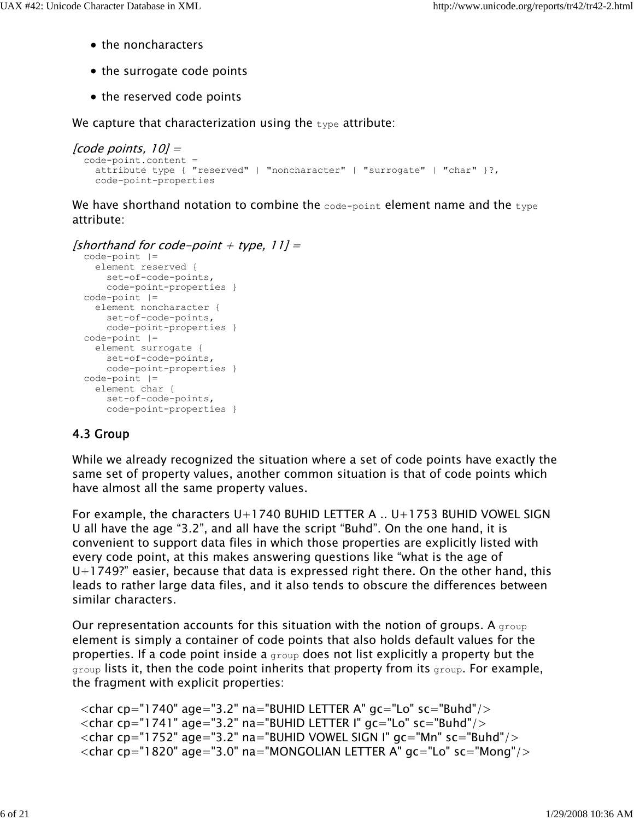- the noncharacters
- the surrogate code points
- the reserved code points

We capture that characterization using the  $type$  attribute:

```
[code points, 10] =
   code-point.content =
     attribute type { "reserved" | "noncharacter" | "surrogate" | "char" }?,
     code-point-properties
```
We have shorthand notation to combine the  $\cos$ -point element name and the  $\pm$ ype attribute:

#### [shorthand for code-point  $+$  type, 11] =

```
 code-point |=
   element reserved {
    set-of-code-points,
    code-point-properties }
 code-point |=
  element noncharacter {
    set-of-code-points,
    code-point-properties }
 code-point |=
  element surrogate {
    set-of-code-points,
    code-point-properties }
 code-point |=
   element char {
     set-of-code-points,
     code-point-properties }
```
#### 4.3 Group

While we already recognized the situation where a set of code points have exactly the same set of property values, another common situation is that of code points which have almost all the same property values.

For example, the characters  $U+1740$  BUHID LETTER A  $\ldots$  U+1753 BUHID VOWEL SIGN U all have the age "3.2", and all have the script "Buhd". On the one hand, it is convenient to support data files in which those properties are explicitly listed with every code point, at this makes answering questions like "what is the age of  $U+1749$ ?" easier, because that data is expressed right there. On the other hand, this leads to rather large data files, and it also tends to obscure the differences between similar characters.

Our representation accounts for this situation with the notion of groups. A group element is simply a container of code points that also holds default values for the properties. If a code point inside a group does not list explicitly a property but the group lists it, then the code point inherits that property from its group. For example, the fragment with explicit properties:

```
\alpha <char cp="1740" age="3.2" na="BUHID LETTER A" gc="Lo" sc="Buhd"/>\alpha < char cp="1741" age="3.2" na="BUHID LETTER I" gc="Lo" sc="Buhd"/>\alpha < char cp="1752" age="3.2" na="BUHID VOWEL SIGN I" gc="Mn" sc="Buhd"/>\alpha <char cp="1820" age="3.0" na="MONGOLIAN LETTER A" gc="Lo" sc="Mong"/>
```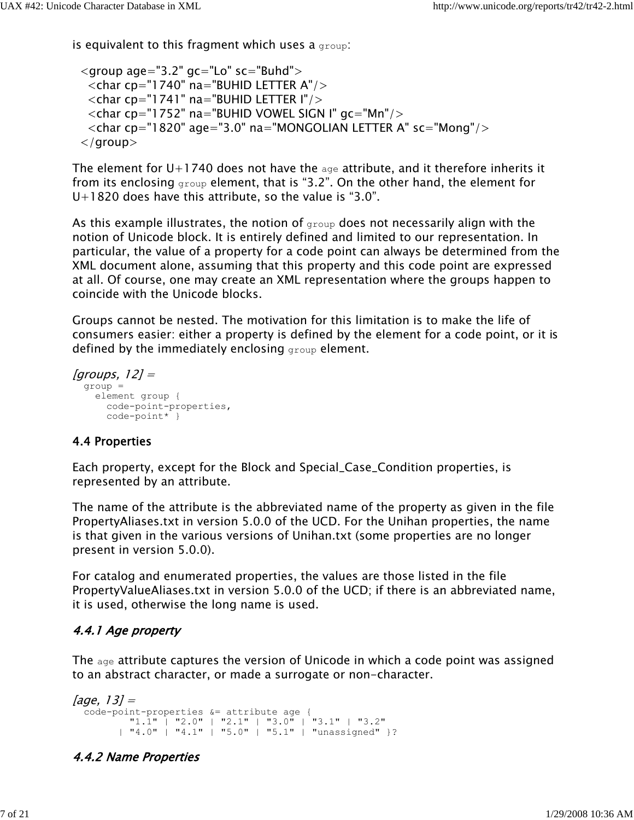is equivalent to this fragment which uses a  $group$ :

```
\leqgroup age="3.2" gc="Lo" sc="Buhd"><char cp="1740" na="BUHID LETTER A"/>
 \langlechar cp="1741" na="BUHID LETTER I"/>\langlechar cp="1752" na="BUHID VOWEL SIGN I" gc="Mn"/><char cp="1820" age="3.0" na="MONGOLIAN LETTER A" sc="Mong"/> </group>
```
The element for  $U+1740$  does not have the  $a_{q}$  attribute, and it therefore inherits it from its enclosing group element, that is "3.2". On the other hand, the element for  $U+1820$  does have this attribute, so the value is "3.0".

As this example illustrates, the notion of  $q_{\text{row}}$  does not necessarily align with the notion of Unicode block. It is entirely defined and limited to our representation. In particular, the value of a property for a code point can always be determined from the XML document alone, assuming that this property and this code point are expressed at all. Of course, one may create an XML representation where the groups happen to coincide with the Unicode blocks.

Groups cannot be nested. The motivation for this limitation is to make the life of consumers easier: either a property is defined by the element for a code point, or it is defined by the immediately enclosing group element.

```
[groups, 12] =
   group = 
    element group {
      code-point-properties,
      code-point* }
```
#### 4.4 Properties

Each property, except for the Block and Special\_Case\_Condition properties, is represented by an attribute.

The name of the attribute is the abbreviated name of the property as given in the file PropertyAliases.txt in version 5.0.0 of the UCD. For the Unihan properties, the name is that given in the various versions of Unihan.txt (some properties are no longer present in version 5.0.0).

For catalog and enumerated properties, the values are those listed in the file PropertyValueAliases.txt in version 5.0.0 of the UCD; if there is an abbreviated name, it is used, otherwise the long name is used.

#### 4.4.1 Age property

The age attribute captures the version of Unicode in which a code point was assigned to an abstract character, or made a surrogate or non-character.

```
[age, 13] =
 code-point-properties &= attribute age { 
 "1.1" | "2.0" | "2.1" | "3.0" | "3.1" | "3.2"
 | "4.0" | "4.1" | "5.0" | "5.1" | "unassigned" }?
```
#### 4.4.2 Name Properties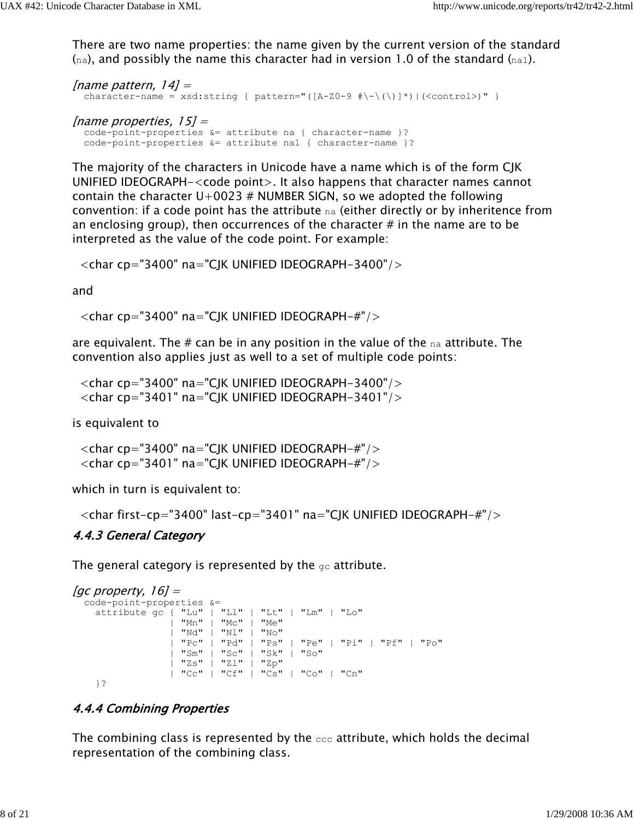There are two name properties: the name given by the current version of the standard  $(n_{\rm a})$ , and possibly the name this character had in version 1.0 of the standard  $(n_{\rm a1})$ .

```
[name pattern, 14] =
   character-name = xsd:string { pattern="([A-Z0-9 #\-\(\)]*)|(<control>)" } 
[name properties, 15] =
```
 code-point-properties &= attribute na { character-name }? code-point-properties &= attribute na1 { character-name }?

The majority of the characters in Unicode have a name which is of the form CJK UNIFIED IDEOGRAPH-<code point>. It also happens that character names cannot contain the character  $U+0023$  # NUMBER SIGN, so we adopted the following convention: if a code point has the attribute na (either directly or by inheritence from an enclosing group), then occurrences of the character  $\#$  in the name are to be interpreted as the value of the code point. For example:

 $\langle$ char cp="3400" na="CJK UNIFIED IDEOGRAPH-3400"/ $>$ 

and

<char cp="3400" na="CJK UNIFIED IDEOGRAPH-#"/>

are equivalent. The # can be in any position in the value of the  $n_a$  attribute. The convention also applies just as well to a set of multiple code points:

 $\langle$ char cp="3400" na="CJK UNIFIED IDEOGRAPH-3400"/ $>$  $\langle$ char cp="3401" na="CJK UNIFIED IDEOGRAPH-3401"/ $>$ 

is equivalent to

 $\alpha$  <char cp="3400" na="CJK UNIFIED IDEOGRAPH-#"/> <char cp="3401" na="CJK UNIFIED IDEOGRAPH-#"/>

which in turn is equivalent to:

```
 <char first-cp="3400" last-cp="3401" na="CJK UNIFIED IDEOGRAPH-#"/>
```
#### 4.4.3 General Category

The general category is represented by the  $q_c$  attribute.

```
[gc property, 16] =
   code-point-properties &=
    attribute gc { "Lu" | "Ll" | "Lt" | "Lm" | "Lo"
                   | "Mn" | "Mc" | "Me" 
                   | "Nd" | "Nl" | "No"
                   | "Pc" | "Pd" | "Ps" | "Pe" | "Pi" | "Pf" | "Po"
                   | "Sm" | "Sc" | "Sk" | "So"
                    | "Zs" | "Zl" | "Zp"
                   | "Cc" | "Cf" | "Cs" | "Co" | "Cn"
     }?
```
### 4.4.4 Combining Properties

The combining class is represented by the  $cc\bar{c}$  attribute, which holds the decimal representation of the combining class.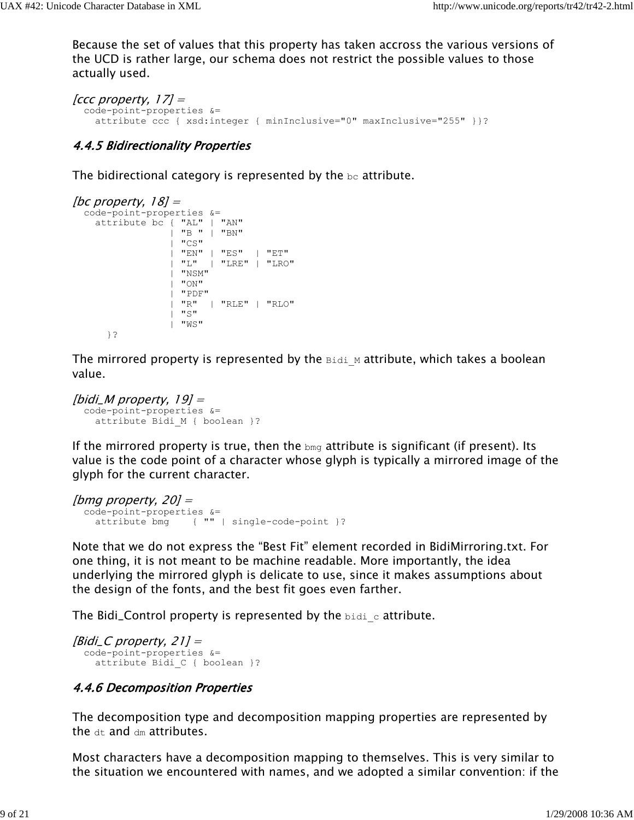Because the set of values that this property has taken accross the various versions of the UCD is rather large, our schema does not restrict the possible values to those actually used.

```
[ccc property, 17] =
  code-point-properties &=
     attribute ccc { xsd:integer { minInclusive="0" maxInclusive="255" }}?
```
#### 4.4.5 Bidirectionality Properties

The bidirectional category is represented by the  $bc$  attribute.

```
[bc property, 18] =
   code-point-properties &= 
     attribute bc { "AL" | "AN" 
                   | "B " | "BN"
                   "CS" | "EN" | "ES" | "ET"
                   | "L" | "LRE" | "LRO"
                   | "NSM" 
                   | "ON"
                   | "PDF"
                   | "R" | "RLE" | "RLO"
                  | "S"
                   | "WS"
       }?
```
The mirrored property is represented by the  $B_{\text{tidi}}$  M attribute, which takes a boolean value.

```
[bidi_M property, 19] =
   code-point-properties &=
     attribute Bidi_M { boolean }?
```
If the mirrored property is true, then the  $_{\text{bmg}}$  attribute is significant (if present). Its value is the code point of a character whose glyph is typically a mirrored image of the glyph for the current character.

```
[bmg property, 20] = code-point-properties &=
    attribute bmg { "" | single-code-point }?
```
Note that we do not express the "Best Fit" element recorded in BidiMirroring.txt. For one thing, it is not meant to be machine readable. More importantly, the idea underlying the mirrored glyph is delicate to use, since it makes assumptions about the design of the fonts, and the best fit goes even farther.

The Bidi\_Control property is represented by the  $\beta$  idi-c attribute.

 $[Bid \cup C$  property, 21] = code-point-properties &= attribute Bidi\_C { boolean }?

#### 4.4.6 Decomposition Properties

The decomposition type and decomposition mapping properties are represented by the  $dt$  and  $dm$  attributes.

Most characters have a decomposition mapping to themselves. This is very similar to the situation we encountered with names, and we adopted a similar convention: if the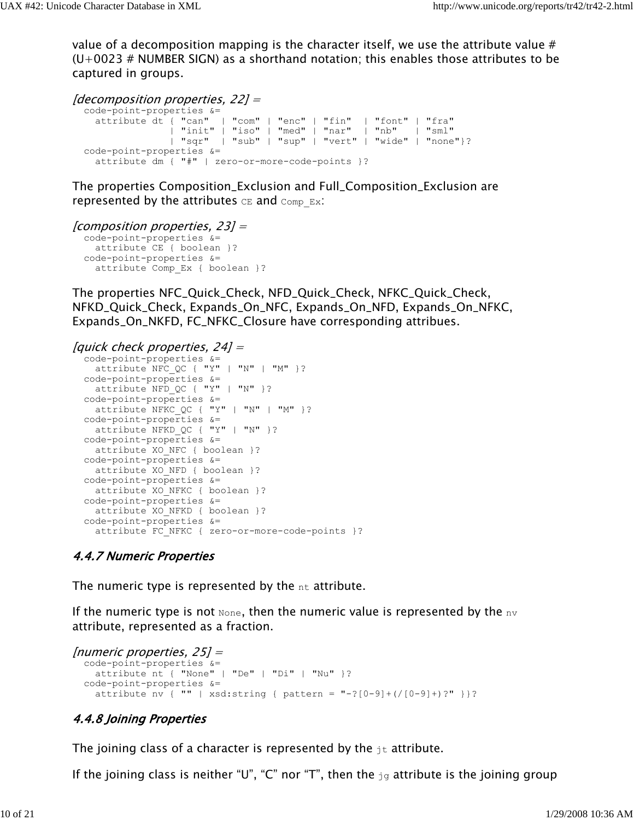value of a decomposition mapping is the character itself, we use the attribute value #  $(U+0023$  # NUMBER SIGN) as a shorthand notation; this enables those attributes to be captured in groups.

```
[decomposition properties, 22] =
  code-point-properties &=
 attribute dt { "can" | "com" | "enc" | "fin" | "font" | "fra"
 | "init" | "iso" | "med" | "nar" | "nb" | "sml"
 | "sqr" | "sub" | "sup" | "vert" | "wide" | "none"}?
  code-point-properties &=
    attribute dm { "#" | zero-or-more-code-points }?
```
The properties Composition\_Exclusion and Full\_Composition\_Exclusion are represented by the attributes  $CE$  and  $Comp$   $Ex$ :

```
[composition properties, 23] =
```

```
 code-point-properties &=
  attribute CE { boolean }?
 code-point-properties &=
   attribute Comp_Ex { boolean }?
```
The properties NFC\_Quick\_Check, NFD\_Quick\_Check, NFKC\_Quick\_Check, NFKD\_Quick\_Check, Expands\_On\_NFC, Expands\_On\_NFD, Expands\_On\_NFKC, Expands\_On\_NKFD, FC\_NFKC\_Closure have corresponding attribues.

#### [quick check properties, 24] =

```
 code-point-properties &=
  attribute NFC_QC { "Y" | "N" | "M" }?
 code-point-properties &=
  attribute NFD_QC { "Y" | "N" }?
 code-point-properties &=
  attribute NFKC_QC { "Y" | "N" | "M" }?
 code-point-properties &=
 attribute NFKD QC { "Y" | "N" }?
 code-point-properties &=
  attribute XO_NFC { boolean }?
 code-point-properties &=
 attribute XO_NFD { boolean }?
 code-point-properties &=
 attribute XO_NFKC { boolean }?
 code-point-properties &=
 attribute XO NFKD { boolean }?
 code-point-properties &=
  attribute FC NFKC { zero-or-more-code-points }?
```
#### 4.4.7 Numeric Properties

The numeric type is represented by the  $nt$  attribute.

If the numeric type is not  $\text{None}$ , then the numeric value is represented by the  $\text{nv}$ attribute, represented as a fraction.

```
[numeric properties, 25] =
  code-point-properties &=
    attribute nt { "None" | "De" | "Di" | "Nu" }?
  code-point-properties &=
    attribute nv { "" | xsd:string { pattern = "-?[0-9]+ ( (0-9]+ )?" } }?
```
#### 4.4.8 Joining Properties

The joining class of a character is represented by the  $j<sub>t</sub>$  attribute.

If the joining class is neither "U", "C" nor "T", then the  $\frac{1}{19}$  attribute is the joining group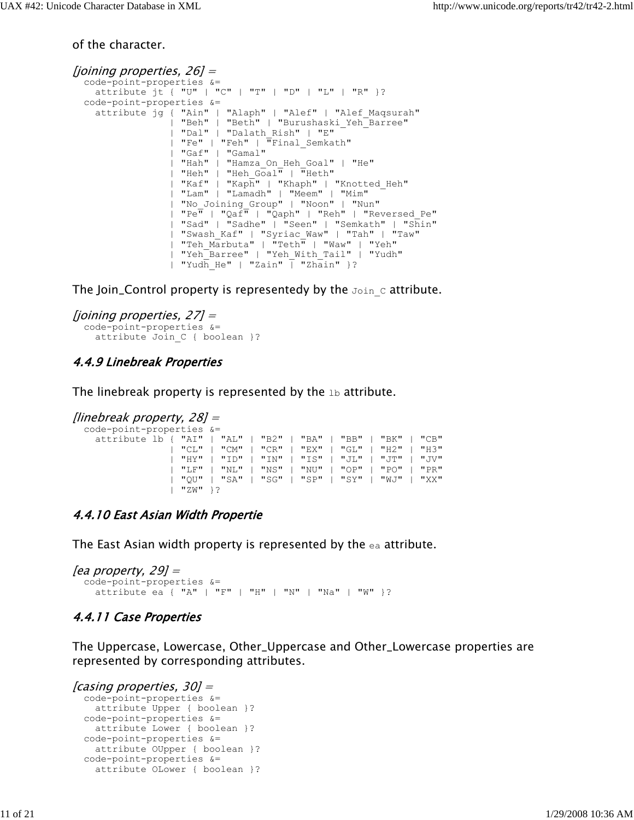of the character.

```
[joining properties, 26] =
   code-point-properties &=
    attribute jt { "U" | "C" | "T" | "D" | "L" | "R" }?
  code-point-properties &=
    attribute jg { "Ain" | "Alaph" | "Alef" | "Alef_Maqsurah" 
                   | "Beh" | "Beth" | "Burushaski_Yeh_Barree"
                   | "Dal" | "Dalath_Rish" | "E" 
                   | "Fe" | "Feh" | "Final_Semkath"
                   | "Gaf" | "Gamal" 
 | "Hah" | "Hamza_On_Heh_Goal" | "He" 
 | "Heh" | "Heh_Goal" | "Heth" 
                  | "Kaf" | "Kaph" | "Khaph" | "Knotted_Heh" 
                  | "Lam" | "Lamadh" | "Meem" | "Mim" 
                   | "No_Joining_Group" | "Noon" | "Nun" 
 | "Pe" | "Qaf" | "Qaph" | "Reh" | "Reversed_Pe" 
 | "Sad" | "Sadhe" | "Seen" | "Semkath" | "Shin" 
                  | "Swash_Kaf" | "Syriac_Waw" | "Tah" | "Taw" 
                  | "Teh_Marbuta" | "Teth" | "Waw" | "Yeh" 
                  | "Yeh_Barree" | "Yeh_With_Tail" | "Yudh" 
                 | "Yudh He" | "Zain" \overline{ } "Zhain" }?
```
The Join\_Control property is representedy by the  $Join$  c attribute.

```
[joining properties, 27] =
   code-point-properties &=
    attribute Join C { boolean }?
```
#### 4.4.9 Linebreak Properties

The linebreak property is represented by the  $1b$  attribute.

```
[linebreak property, 28] =
   code-point-properties &= 
     attribute lb { "AI" | "AL" | "B2" | "BA" | "BB" | "BK" | "CB" 
                   | "CL" | "CM" | "CR" | "EX" | "GL" | "H2" | "H3" 
                    | "HY" | "ID" | "IN" | "IS" | "JL" | "JT" | "JV" 
                   | "LF" | "NL" | "NS" | "NU" | "OP" | "PO" | "PR" 
                   | "QU" | "SA" | "SG" | "SP" | "SY" | "WJ" | "XX" 
                     | "ZW" }?
```
#### 4.4.10 East Asian Width Propertie

The East Asian width property is represented by the ea attribute.

```
[ea property, 29] = code-point-properties &= 
     attribute ea { "A" | "F" | "H" | "N" | "Na" | "W" }?
```
#### 4.4.11 Case Properties

The Uppercase, Lowercase, Other\_Uppercase and Other\_Lowercase properties are represented by corresponding attributes.

```
[casing properties, 30] = code-point-properties &=
    attribute Upper { boolean }?
  code-point-properties &=
    attribute Lower { boolean }?
  code-point-properties &=
    attribute OUpper { boolean }?
  code-point-properties &=
    attribute OLower { boolean }?
```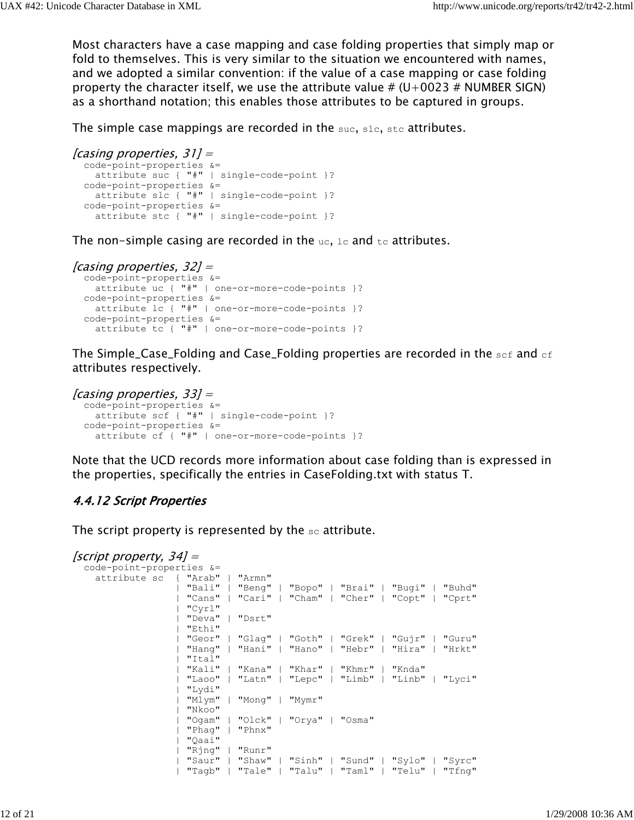Most characters have a case mapping and case folding properties that simply map or fold to themselves. This is very similar to the situation we encountered with names, and we adopted a similar convention: if the value of a case mapping or case folding property the character itself, we use the attribute value #  $(U+0023 \# NUMBER$  SIGN) as a shorthand notation; this enables those attributes to be captured in groups.

The simple case mappings are recorded in the suc, slc, std attributes.

```
[casing properties, 31] =
  code-point-properties &=
    attribute suc { "#" | single-code-point }?
  code-point-properties &=
    attribute slc { "#" | single-code-point }?
  code-point-properties &=
    attribute stc { "#" | single-code-point }?
```
The non-simple casing are recorded in the  $uc, 1c$  and  $tc$  attributes.

```
[casing properties, 32] =
  code-point-properties &=
    attribute uc { "#" | one-or-more-code-points }?
  code-point-properties &=
    attribute lc { "#" | one-or-more-code-points }?
  code-point-properties &=
    attribute tc { "#" | one-or-more-code-points }?
```
The Simple\_Case\_Folding and Case\_Folding properties are recorded in the sef and  $\epsilon$ f attributes respectively.

```
[casing properties, 33] = code-point-properties &=
    attribute scf { "#" | single-code-point }?
  code-point-properties &=
    attribute cf { "#" | one-or-more-code-points }?
```
Note that the UCD records more information about case folding than is expressed in the properties, specifically the entries in CaseFolding.txt with status T.

#### 4.4.12 Script Properties

The script property is represented by the  $\text{sc}$  attribute.

```
[script property, 34] = code-point-properties &=
    attribute sc { "Arab" | "Armn" 
                  | "Bali" | "Beng" | "Bopo" | "Brai" | "Bugi" | "Buhd" 
                  | "Cans" | "Cari" | "Cham" | "Cher" | "Copt" | "Cprt" 
                  | "Cyrl" 
                  | "Deva" | "Dsrt" 
                  | "Ethi" 
                  | "Geor" | "Glag" | "Goth" | "Grek" | "Gujr" | "Guru" 
 | "Hang" | "Hani" | "Hano" | "Hebr" | "Hira" | "Hrkt" 
 | "Ital" 
                  | "Kali" | "Kana" | "Khar" | "Khmr" | "Knda" 
                   | "Laoo" | "Latn" | "Lepc" | "Limb" | "Linb" | "Lyci" 
                   | "Lydi" 
 | "Mlym" | "Mong" | "Mymr" 
 | "Nkoo" 
                  | "Ogam" | "Olck" | "Orya" | "Osma" 
                  | "Phag" | "Phnx" 
                  | "Qaai" 
                  | "Rjng" | "Runr" 
                  | "Saur" | "Shaw" | "Sinh" | "Sund" | "Sylo" | "Syrc" 
                  | "Tagb" | "Tale" | "Talu" | "Taml" | "Telu" | "Tfng"
```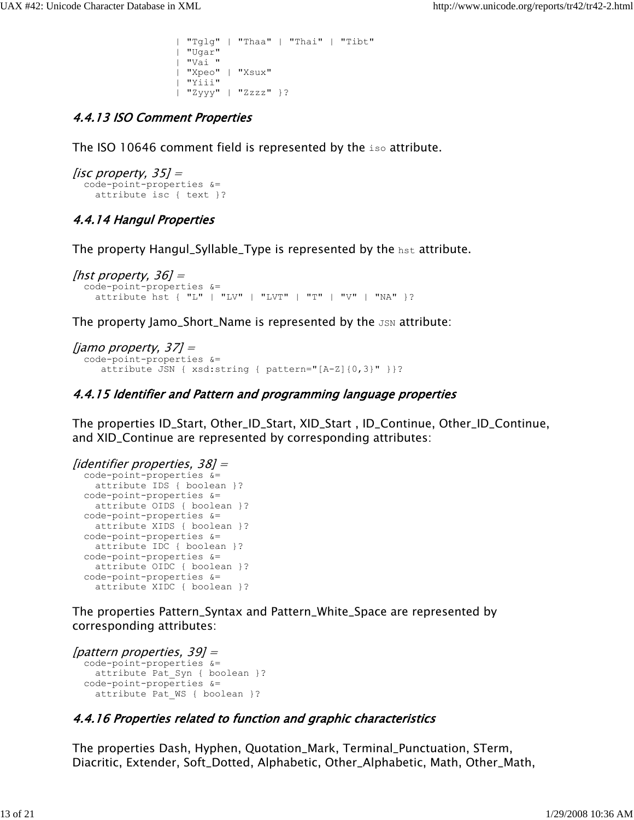```
 | "Tglg" | "Thaa" | "Thai" | "Tibt" 
  | "Ugar" 
  | "Vai " 
  | "Xpeo" | "Xsux" 
  | "Yiii" 
 | "Zyyy" | "Zzzz" }?
```
### 4.4.13 ISO Comment Properties

The ISO 10646 comment field is represented by the iso attribute.

```
[isc property, 35] = code-point-properties &=
     attribute isc { text }?
```
### 4.4.14 Hangul Properties

The property Hangul\_Syllable\_Type is represented by the hst attribute.

```
[hst property, 36] = code-point-properties &= 
     attribute hst { "L" | "LV" | "LVT" | "T" | "V" | "NA" }?
```
The property Jamo\_Short\_Name is represented by the  $JSM$  attribute:

```
[jamo property, 37] =
  code-point-properties &=
      attribute JSN { xsd:string { pattern="[A-Z]{0,3}" }}?
```
#### 4.4.15 Identifier and Pattern and programming language properties

The properties ID\_Start, Other\_ID\_Start, XID\_Start , ID\_Continue, Other\_ID\_Continue, and XID\_Continue are represented by corresponding attributes:

```
[identifier properties, 38] =
   code-point-properties &=
    attribute IDS { boolean }?
  code-point-properties &=
    attribute OIDS { boolean }?
  code-point-properties &=
    attribute XIDS { boolean }?
  code-point-properties &=
    attribute IDC { boolean }?
   code-point-properties &=
    attribute OIDC { boolean }?
  code-point-properties &=
     attribute XIDC { boolean }?
```
The properties Pattern\_Syntax and Pattern\_White\_Space are represented by corresponding attributes:

```
| pattern properties, 39| =
   code-point-properties &=
    attribute Pat Syn { boolean }?
  code-point-properties &=
    attribute Pat WS { boolean }?
```
## 4.4.16 Properties related to function and graphic characteristics

The properties Dash, Hyphen, Quotation\_Mark, Terminal\_Punctuation, STerm, Diacritic, Extender, Soft\_Dotted, Alphabetic, Other\_Alphabetic, Math, Other\_Math,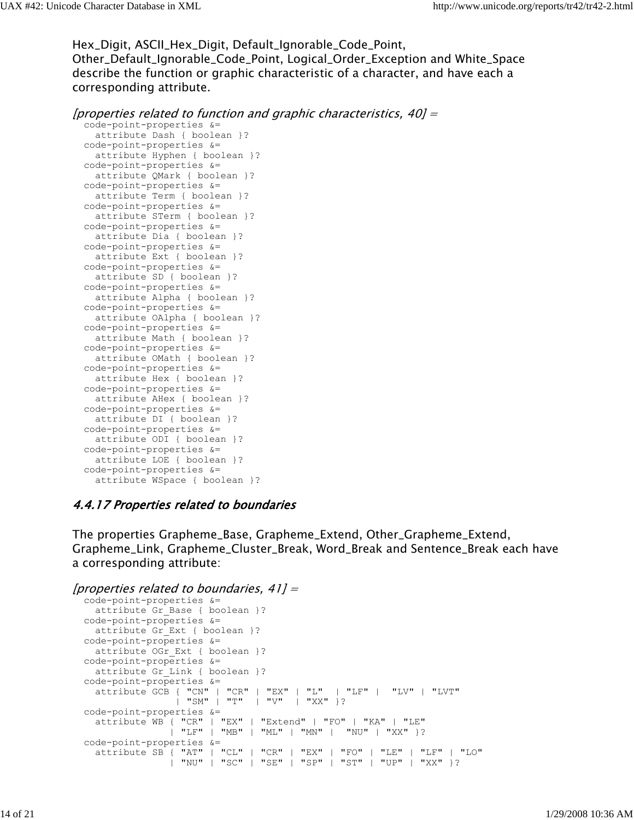Hex\_Digit, ASCII\_Hex\_Digit, Default\_Ignorable\_Code\_Point, Other\_Default\_Ignorable\_Code\_Point, Logical\_Order\_Exception and White\_Space describe the function or graphic characteristic of a character, and have each a corresponding attribute.

```
[properties related to function and graphic characteristics, 40] =
```
 code-point-properties &= attribute Dash { boolean }? code-point-properties &= attribute Hyphen { boolean }? code-point-properties &= attribute QMark { boolean }? code-point-properties &= attribute Term { boolean }? code-point-properties &= attribute STerm { boolean }? code-point-properties &= attribute Dia { boolean }? code-point-properties &= attribute Ext { boolean }? code-point-properties &= attribute SD { boolean }? code-point-properties &= attribute Alpha { boolean }? code-point-properties &= attribute OAlpha { boolean }? code-point-properties &= attribute Math { boolean }? code-point-properties &= attribute OMath { boolean }? code-point-properties &= attribute Hex { boolean }? code-point-properties &= attribute AHex { boolean }? code-point-properties &= attribute DI { boolean }? code-point-properties &= attribute ODI { boolean }? code-point-properties &= attribute LOE { boolean }? code-point-properties &= attribute WSpace { boolean }?

#### 4.4.17 Properties related to boundaries

The properties Grapheme\_Base, Grapheme\_Extend, Other\_Grapheme\_Extend, Grapheme\_Link, Grapheme\_Cluster\_Break, Word\_Break and Sentence\_Break each have a corresponding attribute:

```
[properties related to boundaries, 41] = code-point-properties &=
   attribute Gr Base { boolean }?
  code-point-properties &=
   attribute Gr Ext { boolean }?
  code-point-properties &=
   attribute OGr Ext { boolean }?
  code-point-properties &=
    attribute Gr Link { boolean }?
  code-point-properties &=
    attribute GCB { "CN" | "CR" | "EX" | "L" | "LF" | "LV" | "LVT" 
                   | "SM" | "T" | "V" | "XX" }?
  code-point-properties &=
    attribute WB { "CR" | "EX" | "Extend" | "FO" | "KA" | "LE" 
                  | "LF" | "MB" | "ML" | "MN" | "NU" | "XX" }?
  code-point-properties &=
    attribute SB { "AT" | "CL" | "CR" | "EX" | "FO" | "LE" | "LF" | "LO" 
                  | "NU" | "SC" | "SE" | "SP" | "ST" | "UP" | "XX" }?
```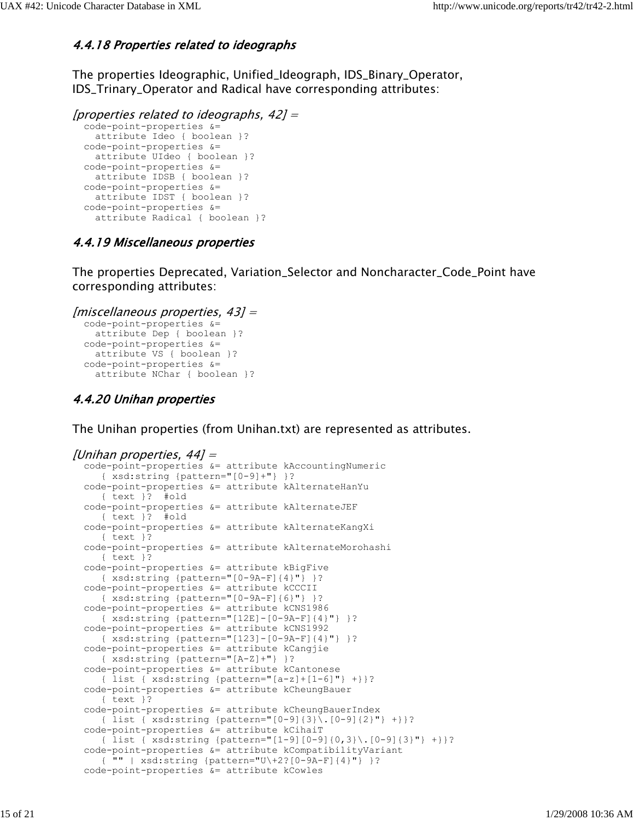#### 4.4.18 Properties related to ideographs

The properties Ideographic, Unified\_Ideograph, IDS\_Binary\_Operator, IDS\_Trinary\_Operator and Radical have corresponding attributes:

```
[properties related to ideographs, 42] =
   code-point-properties &=
     attribute Ideo { boolean }?
   code-point-properties &=
    attribute UIdeo { boolean }?
   code-point-properties &=
    attribute IDSB { boolean }?
   code-point-properties &=
    attribute IDST { boolean }?
   code-point-properties &=
     attribute Radical { boolean }?
```
#### 4.4.19 Miscellaneous properties

The properties Deprecated, Variation\_Selector and Noncharacter\_Code\_Point have corresponding attributes:

```
[miscellaneous properties, 43] =
   code-point-properties &=
     attribute Dep { boolean }?
   code-point-properties &=
     attribute VS { boolean }?
  code-point-properties &= 
     attribute NChar { boolean }?
```
#### 4.4.20 Unihan properties

The Unihan properties (from Unihan.txt) are represented as attributes.

```
[Unihan properties, 44] =
   code-point-properties &= attribute kAccountingNumeric
      { xsd:string {pattern="[0-9]+"} }?
  code-point-properties &= attribute kAlternateHanYu
      { text }? #old
  code-point-properties &= attribute kAlternateJEF
     { text }? #old
  code-point-properties &= attribute kAlternateKangXi
     { text }?
  code-point-properties &= attribute kAlternateMorohashi
     { text }?
  code-point-properties &= attribute kBigFive 
     { xsd:string {pattern="[0-9A-F]{4}"} }?
  code-point-properties &= attribute kCCCII
      { xsd:string {pattern="[0-9A-F]{6}"} }?
  code-point-properties &= attribute kCNS1986
      { xsd:string {pattern="[12E]-[0-9A-F]{4}"} }?
  code-point-properties &= attribute kCNS1992
      { xsd:string {pattern="[123]-[0-9A-F]{4}"} }?
  code-point-properties &= attribute kCangjie
     { xsd:string {pattern="[A-Z]+"} }?
  code-point-properties &= attribute kCantonese
     { list { xsd:string {pattern="[a-z]+[1-6]"} +}}?
  code-point-properties &= attribute kCheungBauer
     { text }?
  code-point-properties &= attribute kCheungBauerIndex
      { list { xsd:string {pattern="[0-9]{3}\.[0-9]{2}"} +}}?
  code-point-properties &= attribute kCihaiT
      { list { xsd:string {pattern="[1-9][0-9]{0,3}\.[0-9]{3}"} +}}?
  code-point-properties &= attribute kCompatibilityVariant
     { "" | xsd:string {pattern="U\+2?[0-9A-F]{4}"} }?
  code-point-properties &= attribute kCowles
```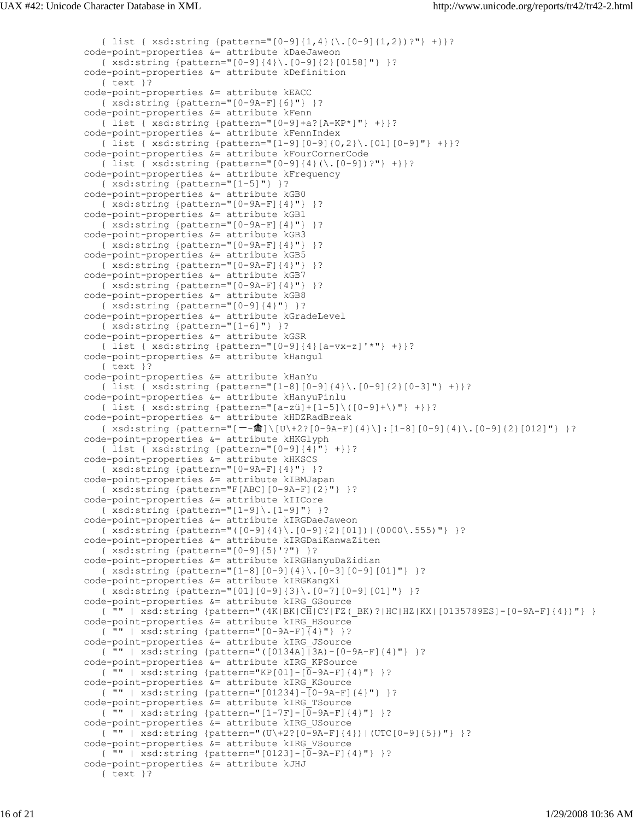```
 { list { xsd:string {pattern="[0-9]{1,4}(\.[0-9]{1,2})?"} +}}?
 code-point-properties &= attribute kDaeJaweon
    { xsd:string {pattern="[0-9]{4}\.[0-9]{2}[0158]"} }?
 code-point-properties &= attribute kDefinition
    { text }?
 code-point-properties &= attribute kEACC
    { xsd:string {pattern="[0-9A-F]{6}"} }?
 code-point-properties &= attribute kFenn
    { list { xsd:string {pattern="[0-9]+a?[A-KP*]"} +}}?
 code-point-properties &= attribute kFennIndex
    { list { xsd:string {pattern="[1-9][0-9]{0,2}\.[01][0-9]"} +}}?
 code-point-properties &= attribute kFourCornerCode
    { list { xsd:string {pattern="[0-9]{4}(\.[0-9])?"} +}}?
 code-point-properties &= attribute kFrequency
    { xsd:string {pattern="[1-5]"} }?
 code-point-properties &= attribute kGB0
    { xsd:string {pattern="[0-9A-F]{4}"} }?
 code-point-properties &= attribute kGB1
    { xsd:string {pattern="[0-9A-F]{4}"} }?
 code-point-properties &= attribute kGB3
    { xsd:string {pattern="[0-9A-F]{4}"} }?
 code-point-properties &= attribute kGB5
    { xsd:string {pattern="[0-9A-F]{4}"} }?
 code-point-properties &= attribute kGB7
    { xsd:string {pattern="[0-9A-F]{4}"} }?
 code-point-properties &= attribute kGB8
    { xsd:string {pattern="[0-9]{4}"} }?
 code-point-properties &= attribute kGradeLevel
    { xsd:string {pattern="[1-6]"} }?
 code-point-properties &= attribute kGSR
    { list { xsd:string {pattern="[0-9]{4}[a-vx-z]'*"} +}}?
 code-point-properties &= attribute kHangul
    { text }?
 code-point-properties &= attribute kHanYu
    { list { xsd:string {pattern="[1-8][0-9]{4}\.[0-9]{2}[0-3]"} +}}?
 code-point-properties &= attribute kHanyuPinlu
    { list { xsd:string {pattern="[a-zü]+[1-5]\([0-9]+\)"} +}}?
 code-point-properties &= attribute kHDZRadBreak
   { xsd:string {pattern="[--龠]\[U\+2?[0-9A-F]{4}\]:[1-8][0-9]{4}\.[0-9]{2}[012]"} }?
 code-point-properties &= attribute kHKGlyph
  { list { xsd:string {pattern="[0-9]{4}}"} +} }?
 code-point-properties &= attribute kHKSCS
    { xsd:string {pattern="[0-9A-F]{4}"} }?
 code-point-properties &= attribute kIBMJapan
    { xsd:string {pattern="F[ABC][0-9A-F]{2}"} }?
 code-point-properties &= attribute kIICore
    { xsd:string {pattern="[1-9]\.[1-9]"} }?
 code-point-properties &= attribute kIRGDaeJaweon
    { xsd:string {pattern="([0-9]{4}\.[0-9]{2}[01])|(0000\.555)"} }?
 code-point-properties &= attribute kIRGDaiKanwaZiten
    { xsd:string {pattern="[0-9]{5}'?"} }?
 code-point-properties &= attribute kIRGHanyuDaZidian
    { xsd:string {pattern="[1-8][0-9]{4}\.[0-3][0-9][01]"} }?
 code-point-properties &= attribute kIRGKangXi
    { xsd:string {pattern="[01][0-9]{3}\.[0-7][0-9][01]"} }?
 code-point-properties &= attribute kIRG_GSource
    { "" | xsd:string {pattern="(4K|BK|CH|CY|FZ(_BK)?|HC|HZ|KX|[0135789ES]-[0-9A-F]{4})"} }
 code-point-properties &= attribute kIRG_HSource
    { "" | xsd:string {pattern="[0-9A-F]{4}"} }?
 code-point-properties &= attribute kIRG_JSource
    { "" | xsd:string {pattern="([0134A]|3A)-[0-9A-F]{4}"} }?
 code-point-properties &= attribute kIRG_KPSource
   {\{ " " " " " " sds: string {pattern="KP[01] - [0-9A-F] {4} " } \}?
 code-point-properties &= attribute kIRG_KSource
    { "" | xsd:string {pattern="[01234]-[0-9A-F]{4}"} }?
 code-point-properties &= attribute kIRG_TSource
    { "" | xsd:string {pattern="[1-7F]-[0-9A-F]{4}"} }?
 code-point-properties &= attribute kIRG_USource
   { "" | xsd:string {pattern="(U\+2?[0-9A-F]{4})|(UTC[0-9]{5})"} }?
 code-point-properties &= attribute kIRG_VSource
  {\{ " " " " " " sds:string {pattern="[0123] - [0-9A-F] {4} " } \}?
 code-point-properties &= attribute kJHJ
    { text }?
```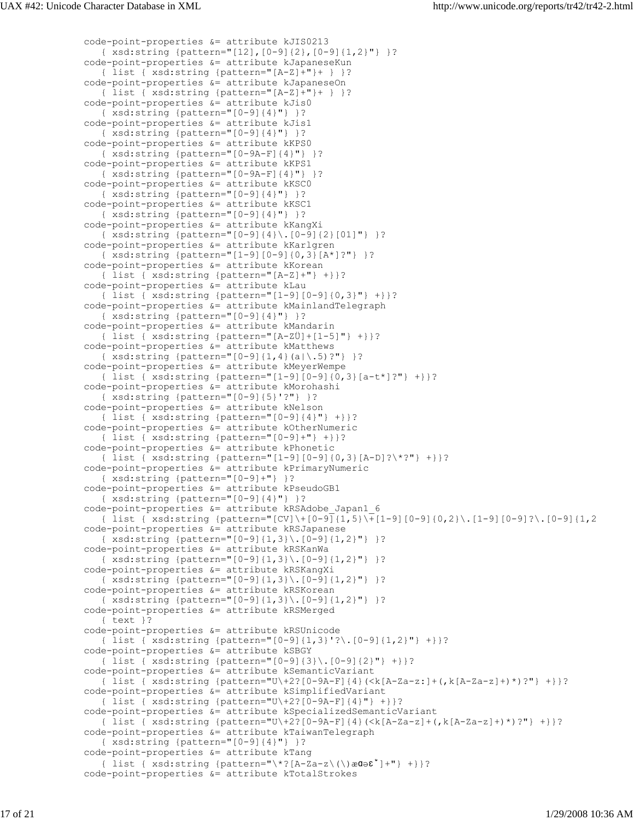```
 code-point-properties &= attribute kJIS0213
    { xsd:string {pattern="[12],[0-9]{2},[0-9]{1,2}"} }?
 code-point-properties &= attribute kJapaneseKun
    { list { xsd:string {pattern="[A-Z]+"}+ } }?
 code-point-properties &= attribute kJapaneseOn
    { list { xsd:string {pattern="[A-Z]+"}+ } }?
 code-point-properties &= attribute kJis0
    { xsd:string {pattern="[0-9]{4}"} }?
 code-point-properties &= attribute kJis1
    { xsd:string {pattern="[0-9]{4}"} }?
 code-point-properties &= attribute kKPS0
    { xsd:string {pattern="[0-9A-F]{4}"} }?
 code-point-properties &= attribute kKPS1
    { xsd:string {pattern="[0-9A-F]{4}"} }?
 code-point-properties &= attribute kKSC0
    { xsd:string {pattern="[0-9]{4}"} }?
 code-point-properties &= attribute kKSC1
    { xsd:string {pattern="[0-9]{4}"} }?
 code-point-properties &= attribute kKangXi
    { xsd:string {pattern="[0-9]{4}\.[0-9]{2}[01]"} }?
 code-point-properties &= attribute kKarlgren
    { xsd:string {pattern="[1-9][0-9]{0,3}[A*]?"} }?
 code-point-properties &= attribute kKorean
    { list { xsd:string {pattern="[A-Z]+"} +}}?
 code-point-properties &= attribute kLau
    { list { xsd:string {pattern="[1-9][0-9]{0,3}"} +}}?
 code-point-properties &= attribute kMainlandTelegraph
    { xsd:string {pattern="[0-9]{4}"} }?
 code-point-properties &= attribute kMandarin
    { list { xsd:string {pattern="[A-ZÜ]+[1-5]"} +}}?
 code-point-properties &= attribute kMatthews
    { xsd:string {pattern="[0-9]{1,4}(a|\.5)?"} }?
 code-point-properties &= attribute kMeyerWempe
    { list { xsd:string {pattern="[1-9][0-9]{0,3}[a-t*]?"} +}}?
 code-point-properties &= attribute kMorohashi
    { xsd:string {pattern="[0-9]{5}'?"} }?
 code-point-properties &= attribute kNelson
    { list { xsd:string {pattern="[0-9]{4}"} +}}?
 code-point-properties &= attribute kOtherNumeric
    { list { xsd:string {pattern="[0-9]+"} +}}?
 code-point-properties &= attribute kPhonetic
    { list { xsd:string {pattern="[1-9][0-9]{0,3}[A-D]?\*?"} +}}?
 code-point-properties &= attribute kPrimaryNumeric
    { xsd:string {pattern="[0-9]+"} }?
 code-point-properties &= attribute kPseudoGB1
    { xsd:string {pattern="[0-9]{4}"} }?
 code-point-properties &= attribute kRSAdobe_Japan1_6
    { list { xsd:string {pattern="[CV]\+[0-9]{1,5}\+[1-9][0-9]{0,2}\.[1-9][0-9]?\.[0-9]{1,2
 code-point-properties &= attribute kRSJapanese
    { xsd:string {pattern="[0-9]{1,3}\.[0-9]{1,2}"} }?
 code-point-properties &= attribute kRSKanWa
    { xsd:string {pattern="[0-9]{1,3}\.[0-9]{1,2}"} }?
 code-point-properties &= attribute kRSKangXi
    { xsd:string {pattern="[0-9]{1,3}\.[0-9]{1,2}"} }?
 code-point-properties &= attribute kRSKorean
    { xsd:string {pattern="[0-9]{1,3}\.[0-9]{1,2}"} }?
 code-point-properties &= attribute kRSMerged
    { text }?
 code-point-properties &= attribute kRSUnicode
    { list { xsd:string {pattern="[0-9]{1,3}'?\.[0-9]{1,2}"} +}}?
 code-point-properties &= attribute kSBGY
    { list { xsd:string {pattern="[0-9]{3}\.[0-9]{2}"} +}}?
 code-point-properties &= attribute kSemanticVariant
    { list { xsd:string {pattern="U\+2?[0-9A-F]{4}(<k[A-Za-z:]+(,k[A-Za-z]+)*)?"} +}}?
 code-point-properties &= attribute kSimplifiedVariant
    { list { xsd:string {pattern="U\+2?[0-9A-F]{4}"} +}}?
 code-point-properties &= attribute kSpecializedSemanticVariant
    { list { xsd:string {pattern="U\+2?[0-9A-F]{4}(<k[A-Za-z]+(,k[A-Za-z]+)*)?"} +}}?
 code-point-properties &= attribute kTaiwanTelegraph
    { xsd:string {pattern="[0-9]{4}"} }?
 code-point-properties &= attribute kTang
    { list { xsd:string {pattern="\*?[A-Za-z\(\)æɑəɛ̀̌]+"} +}}?
 code-point-properties &= attribute kTotalStrokes
```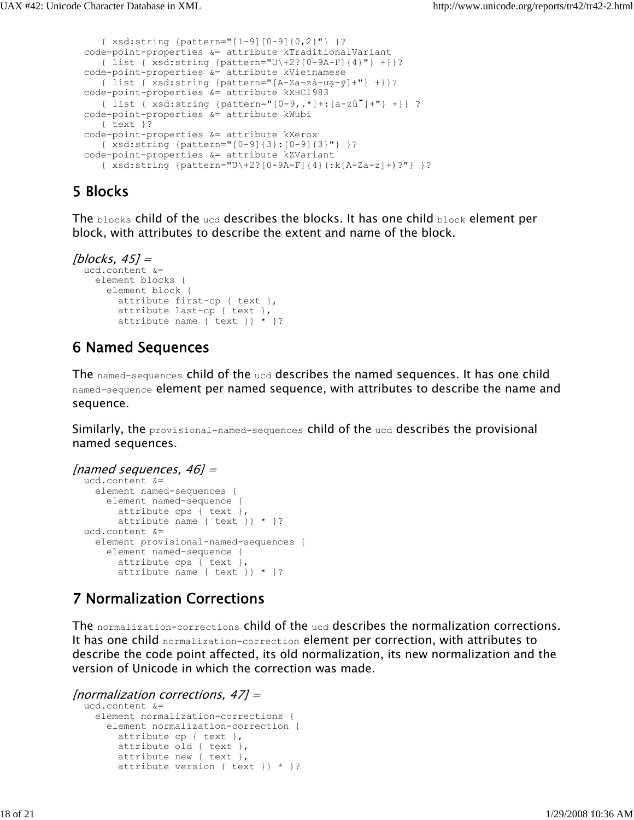```
 { xsd:string {pattern="[1-9][0-9]{0,2}"} }?
 code-point-properties &= attribute kTraditionalVariant
    { list { xsd:string {pattern="U\+2?[0-9A-F]{4}"} +}}?
 code-point-properties &= attribute kVietnamese
    { list { xsd:string {pattern="[A-Za-zà-ưạ-ỹ]+"} +}}?
 code-point-properties &= attribute kXHC1983
    { list { xsd:string {pattern="[0-9,.*]+:[a-zǜ́̄̈̌]+"} +}} ?
 code-point-properties &= attribute kWubi
    { text }?
 code-point-properties &= attribute kXerox
    { xsd:string {pattern="[0-9]{3}:[0-9]{3}"} }?
 code-point-properties &= attribute kZVariant
    { xsd:string {pattern="U\+2?[0-9A-F]{4}(:k[A-Za-z]+)?"} }?
```
## 5 Blocks

The  $_{\text{blocks}}$  child of the ucd describes the blocks. It has one child  $_{\text{block}}$  element per block, with attributes to describe the extent and name of the block.

```
[blocks, 45] = ucd.content &=
     element blocks {
       element block { 
         attribute first-cp { text },
         attribute last-cp { text },
         attribute name { text }} * }?
```
## 6 Named Sequences

The named-sequences child of the ucd describes the named sequences. It has one child named-sequence element per named sequence, with attributes to describe the name and sequence.

Similarly, the provisional-named-sequences child of the ucd describes the provisional named sequences.

```
[named sequences, 46] =
   ucd.content &=
     element named-sequences {
       element named-sequence { 
         attribute cps { text },
         attribute name { text }} * }?
  ucd.content &=
     element provisional-named-sequences {
       element named-sequence { 
         attribute cps { text },
        attribute name { text } \} * }?
```
## 7 Normalization Corrections

The normalization-corrections child of the ucd describes the normalization corrections. It has one child normalization-correction element per correction, with attributes to describe the code point affected, its old normalization, its new normalization and the version of Unicode in which the correction was made.

```
[normalization corrections, 47] =
   ucd.content &=
     element normalization-corrections {
       element normalization-correction { 
         attribute cp { text },
         attribute old { text },
         attribute new { text },
         attribute version { text }} * }?
```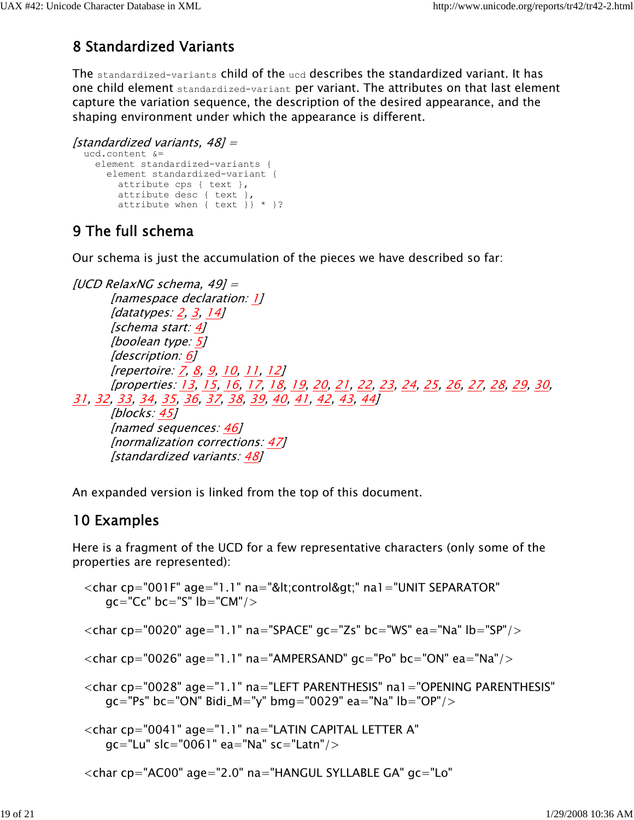# 8 Standardized Variants

The standardized-variants child of the ucd describes the standardized variant. It has one child element standardized-variant per variant. The attributes on that last element capture the variation sequence, the description of the desired appearance, and the shaping environment under which the appearance is different.

```
[standardized variants, 48] =
   ucd.content &=
     element standardized-variants {
       element standardized-variant { 
         attribute cps { text },
         attribute desc { text },
         attribute when { text }} * }?
```
# 9 The full schema

Our schema is just the accumulation of the pieces we have described so far:

```
[UCD RelaxNG schema, 49] =
        [namespace declaration: 1]
        [datatypes: 2, 3, 14]
        [schema start: 4]
        [boolean type: 5]
       [description: 6]
       [repertoire: <u>7, 8, 9, 10, 11, 12</u>]
        [properties: 13, 15, 16, 17, 18, 19, 20, 21, 22, 23, 24, 25, 26, 27, 28, 29, 30, 
31, 32, 33, 34, 35, 36, 37, 38, 39, 40, 41, 42, 43, 44]
        [blocks: 45]
        [named sequences: 46]
        [normalization corrections: 47]
        [standardized variants: 48]
```
An expanded version is linked from the top of this document.

# 10 Examples

Here is a fragment of the UCD for a few representative characters (only some of the properties are represented):

```
<char cp="001F" age="1.1" na="&lt;control&gt;" na1="UNIT SEPARATOR"
   qc="CC" bc="S" lb="CM"<char cp="0020" age="1.1" na="SPACE" gc="Zs" bc="WS" ea="Na" lb="SP"/><char cp="0026" age="1.1" na="AMPERSAND" gc="Po" bc="ON" ea="Na"/> <char cp="0028" age="1.1" na="LEFT PARENTHESIS" na1="OPENING PARENTHESIS"
   qc="Ps" bc="ON" Bidi_M="y" bmg="0029" ea="Na" lb="OP" <char cp="0041" age="1.1" na="LATIN CAPITAL LETTER A"
    gc="Lu" slc="0061" ea="Na" sc="Latn"/>
 <char cp="AC00" age="2.0" na="HANGUL SYLLABLE GA" gc="Lo"
```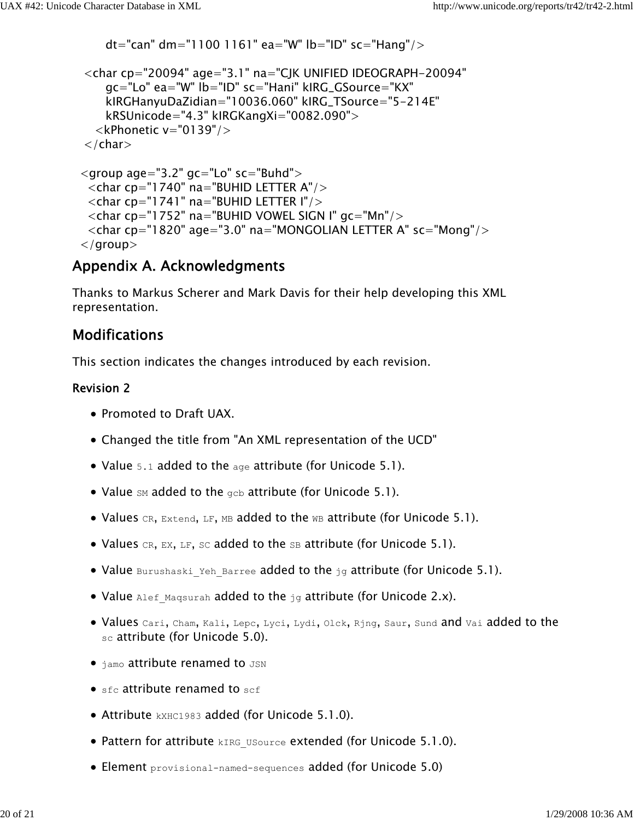```
 <char cp="20094" age="3.1" na="CJK UNIFIED IDEOGRAPH-20094"
     gc="Lo" ea="W" lb="ID" sc="Hani" kIRG_GSource="KX"
     kIRGHanyuDaZidian="10036.060" kIRG_TSource="5-214E"
     kRSUnicode="4.3" kIRGKangXi="0082.090">
  \langlekPhonetic v="0139"/>\langle/char\rangle<group age="3.2" gc="Lo" sc="Buhd"><char cp="1740" na="BUHID LETTER A"/>
 \langlechar cp="1741" na="BUHID LETTER I"/> <char cp="1752" na="BUHID VOWEL SIGN I" gc="Mn"/>
 <char cp="1820" age="3.0" na="MONGOLIAN LETTER A" sc="Mong"/> </group>
```
dt="can" dm="1100 1161" ea="W" lb="ID" sc="Hang"/>

## Appendix A. Acknowledgments

Thanks to Markus Scherer and Mark Davis for their help developing this XML representation.

## Modifications

This section indicates the changes introduced by each revision.

### Revision 2

- Promoted to Draft UAX.
- Changed the title from "An XML representation of the UCD"
- Value 5.1 added to the age attribute (for Unicode 5.1).
- Value  $\text{SM}$  added to the gcb attribute (for Unicode 5.1).
- Values CR, Extend, LF, MB added to the WB attribute (for Unicode 5.1).
- Values  $CR$ ,  $EX$ ,  $LF$ ,  $SC$  added to the  $SB$  attribute (for Unicode 5.1).
- Value Burushaski Yeh Barree added to the  $jq$  attribute (for Unicode 5.1).
- Value Alef Maqsurah added to the jg attribute (for Unicode 2.x).
- Values Cari, Cham, Kali, Lepc, Lyci, Lydi, Olck, Rjng, Saur, Sund and Vai added to the sc attribute (for Unicode 5.0).
- $\bullet$   $\Delta$   $\Delta$   $\Delta$  attribute renamed to  $JSN$
- $\bullet$  sfc attribute renamed to scf
- Attribute **kXHC1983** added (for Unicode 5.1.0).
- Pattern for attribute kIRG USource extended (for Unicode 5.1.0).
- Element provisional-named-sequences added (for Unicode 5.0)